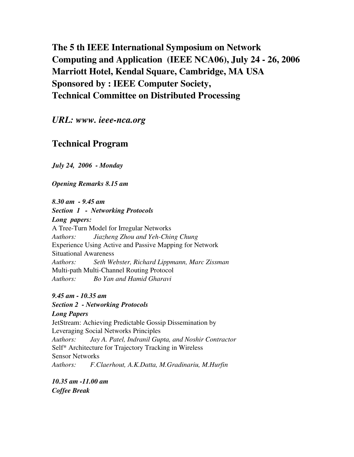The 5 th IEEE International Symposium on Network Computing and Application (IEEE NCA06), July 24 - 26, 2006 Marriott Hotel, Kendal Square, Cambridge, MA USA Sponsored by : IEEE Computer Society, Technical Committee on Distributed Processing

*URL: www. ieeenca.org*

# Technical Program

*July 24, 2006 Monday*

*Opening Remarks 8.15 am*

*8.30 am 9.45 am*

*Section 1 Networking Protocols Long papers:* A Tree-Turn Model for Irregular Networks Authors: *Jiazheng Zhou and Yeh-Ching Chung* Experience Using Active and Passive Mapping for Network Situational Awareness *Authors: Seth Webster, Richard Lippmann, Marc Zissman* Multi-path Multi-Channel Routing Protocol *Authors: Bo Yan and Hamid Gharavi*

*9.45 am 10.35 am*

*Section 2 Networking Protocols Long Papers* JetStream: Achieving Predictable Gossip Dissemination by Leveraging Social Networks Principles *Authors: Jay A. Patel, Indranil Gupta, and Noshir Contractor* Self\* Architecture for Trajectory Tracking in Wireless Sensor Networks *Authors: F.Claerhout, A.K.Datta, M.Gradinariu, M.Hurfin*

*10.35 am 11.00 am Coffee Break*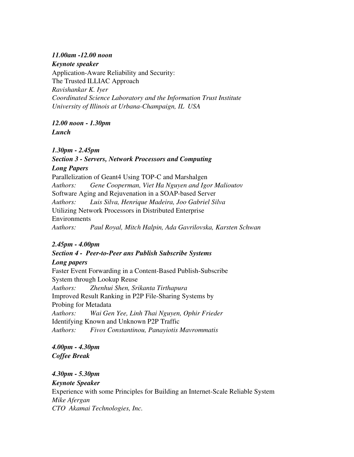## *11.00am 12.00 noon*

#### *Keynote speaker*

Application-Aware Reliability and Security: The Trusted ILLIAC Approach *Ravishankar K. Iyer Coordinated Science Laboratory and the Information Trust Institute University of Illinois at UrbanaChampaign, IL USA*

# *12.00 noon 1.30pm Lunch*

## *1.30pm 2.45pm*

# *Section 3 Servers, Network Processors and Computing*

*Long Papers* Parallelization of Geant4 Using TOP-C and Marshalgen *Authors: Gene Cooperman, Viet Ha Nguyen and Igor Malioutov* Software Aging and Rejuvenation in a SOAP-based Server *Authors: Luis Silva, Henrique Madeira, Joo Gabriel Silva* Utilizing Network Processors in Distributed Enterprise Environments *Authors: Paul Royal, Mitch Halpin, Ada Gavrilovska, Karsten Schwan*

# *2.45pm 4.00pm*

# **Section 4 - Peer-to-Peer ans Publish Subscribe Systems**

# *Long papers*

Faster Event Forwarding in a Content-Based Publish-Subscribe System through Lookup Reuse *Authors: Zhenhui Shen, Srikanta Tirthapura*  Improved Result Ranking in P2P File-Sharing Systems by Probing for Metadata *Authors: Wai Gen Yee, Linh Thai Nguyen, Ophir Frieder* Identifying Known and Unknown P2P Traffic *Authors: Fivos Constantinou, Panayiotis Mavrommatis*

# *4.00pm 4.30pm Coffee Break*

*4.30pm 5.30pm Keynote Speaker* Experience with some Principles for Building an Internet-Scale Reliable System *Mike Afergan CTO Akamai Technologies, Inc.*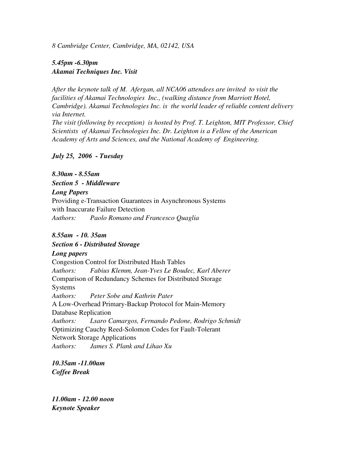*8 Cambridge Center, Cambridge, MA, 02142, USA*

*5.45pm 6.30pm Akamai Techniques Inc. Visit*

*After the keynote talk of M. Afergan, all NCA06 attendees are invited to visit the facilities of Akamai Technologies Inc., (walking distance from Marriott Hotel, Cambridge). Akamai Technologies Inc. is the world leader of reliable content delivery via Internet. The visit (following by reception) is hosted by Prof. T. Leighton, MIT Professor, Chief Scientists of Akamai Technologies Inc. Dr. Leighton is a Fellow of the American Academy of Arts and Sciences, and the National Academy of Engineering.*

*July 25, 2006 Tuesday*

*8.30am 8.55am Section 5 Middleware Long Papers* Providing e-Transaction Guarantees in Asynchronous Systems with Inaccurate Failure Detection *Authors: Paolo Romano and Francesco Quaglia*

## *8.55am 10. 35am*

# *Section 6 Distributed Storage*

#### *Long papers*

Congestion Control for Distributed Hash Tables Authors: Fabius Klemm, Jean-Yves Le Boudec, Karl Aberer Comparison of Redundancy Schemes for Distributed Storage Systems *Authors: Peter Sobe and Kathrin Pater* A Low-Overhead Primary-Backup Protocol for Main-Memory Database Replication *Authors: Lsaro Camargos, Fernando Pedone, Rodrigo Schmidt* Optimizing Cauchy Reed-Solomon Codes for Fault-Tolerant Network Storage Applications *Authors: James S. Plank and Lihao Xu*

*10.35am 11.00am Coffee Break* 

*11.00am 12.00 noon Keynote Speaker*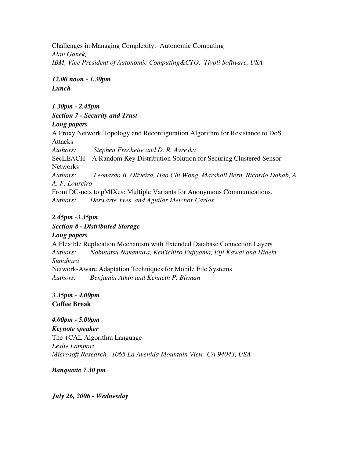Challenges in Managing Complexity: Autonomic Computing *Alan Ganek, IBM, Vice President of Autonomic Computing&CTO, Tivoli Software, USA*

*12.00 noon 1.30pm Lunch*

*1.30pm 2.45pm Section 7 Security and Trust*

### *Long papers*

A Proxy Network Topology and Reconfiguration Algorithm for Resistance to DoS **Attacks** 

*Authors: Stephen Frechette and D. R. Avresky*

SecLEACH – A Random Key Distribution Solution for Securing Clustered Sensor Networks

*Authors: Leonardo B. Oliveira, Hao Chi Wong, Marshall Bern, Ricardo Dahab, A. A. F. Loureiro*

From DC-nets to pMIXes: Multiple Variants for Anonymous Communications. *Authors: Deswarte Yves and Aguilar Melchor Carlos*

# *2.45pm 3.35pm*

# *Section 8 Distributed Storage*

*Long papers* A Flexible Replication Mechanism with Extended Database Connection Layers *Authors: Nobutatsu Nakamura, Ken'ichiro Fujiyama, Eiji Kawai and Hideki Sunahara* Network-Aware Adaptation Techniques for Mobile File Systems *Authors: Benjamin Atkin and Kenneth P. Birman*

*3.35pm 4.00pm* Coffee Break

*4.00pm 5.00pm Keynote speaker* The +CAL Algorithm Language *Leslie Lamport Microsoft Research, 1065 La Avenida Mountain View, CA 94043, USA*

*Banquette 7.30 pm*

*July 26, 2006 Wednesday*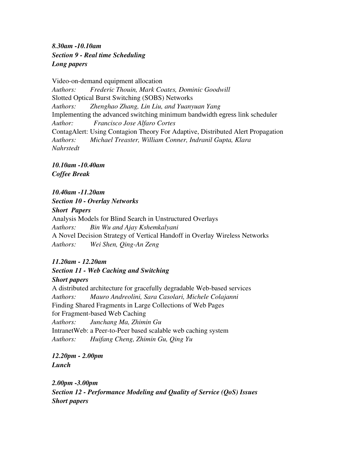# *8.30am 10.10am Section 9 Real time Scheduling Long papers*

Video-on-demand equipment allocation *Authors: Frederic Thouin, Mark Coates, Dominic Goodwill* Slotted Optical Burst Switching (SOBS) Networks *Authors: Zhenghao Zhang, Lin Liu, and Yuanyuan Yang*  Implementing the advanced switching minimum bandwidth egress link scheduler *Author: Francisco Jose Alfaro Cortes* ContagAlert: Using Contagion Theory For Adaptive, Distributed Alert Propagation *Authors: Michael Treaster, William Conner, Indranil Gupta, Klara Nahrstedt*

*10.10am 10.40am Coffee Break* 

## *10.40am 11.20am*

*Section 10 Overlay Networks*

#### *Short Papers*

Analysis Models for Blind Search in Unstructured Overlays *Authors: Bin Wu and Ajay Kshemkalyani* A Novel Decision Strategy of Vertical Handoff in Overlay Wireless Networks *Authors: Wei Shen, QingAn Zeng* 

## *11.20am 12.20am*

## *Section 11 Web Caching and Switching*

## *Short papers*

A distributed architecture for gracefully degradable Web-based services *Authors: Mauro Andreolini, Sara Casolari, Michele Colajanni* Finding Shared Fragments in Large Collections of Web Pages for Fragment-based Web Caching *Authors: Junchang Ma, Zhimin Gu* IntranetWeb: a Peer-to-Peer based scalable web caching system *Authors: Huifang Cheng, Zhimin Gu, Qing Yu*

*12.20pm 2.00pm Lunch*

*2.00pm 3.00pm Section 12 Performance Modeling and Quality of Service (QoS) Issues Short papers*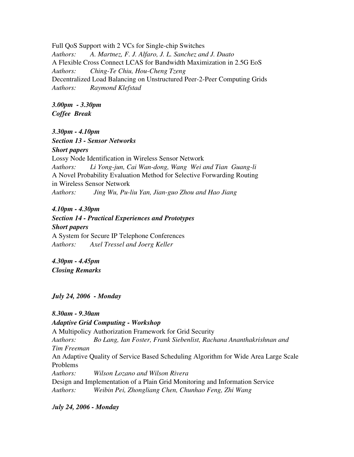Full QoS Support with 2 VCs for Singlechip Switches *Authors: A. Martnez, F. J. Alfaro, J. L. Sanchez and J. Duato* A Flexible Cross Connect LCAS for Bandwidth Maximization in 2.5G EoS Authors: Ching-Te Chiu, Hou-Cheng Tzeng Decentralized Load Balancing on Unstructured Peer-2-Peer Computing Grids *Authors: Raymond Klefstad*

*3.00pm 3.30pm Coffee Break* 

*3.30pm 4.10pm Section 13 Sensor Networks Short papers* Lossy Node Identification in Wireless Sensor Network Authors: *Li Yong-jun, Cai Wan-dong, Wang Wei and Tian Guang-li* A Novel Probability Evaluation Method for Selective Forwarding Routing in Wireless Sensor Network Authors: *Jing Wu, Pu-liu Yan, Jian-guo Zhou and Hao Jiang* 

*4.10pm 4.30pm Section 14 Practical Experiences and Prototypes Short papers* A System for Secure IP Telephone Conferences *Authors: Axel Tressel and Joerg Keller*

*4.30pm 4.45pm Closing Remarks*

*July 24, 2006 Monday*

*8.30am 9.30am*

**Adaptive Grid Computing - Workshop** A Multipolicy Authorization Framework for Grid Security *Authors: Bo Lang, Ian Foster, Frank Siebenlist, Rachana Ananthakrishnan and Tim Freeman*  An Adaptive Quality of Service Based Scheduling Algorithm for Wide Area Large Scale Problems *Authors: Wilson Lozano and Wilson Rivera*  Design and Implementation of a Plain Grid Monitoring and Information Service *Authors: Weibin Pei, Zhongliang Chen, Chunhao Feng, Zhi Wang* 

*July 24, 2006 Monday*